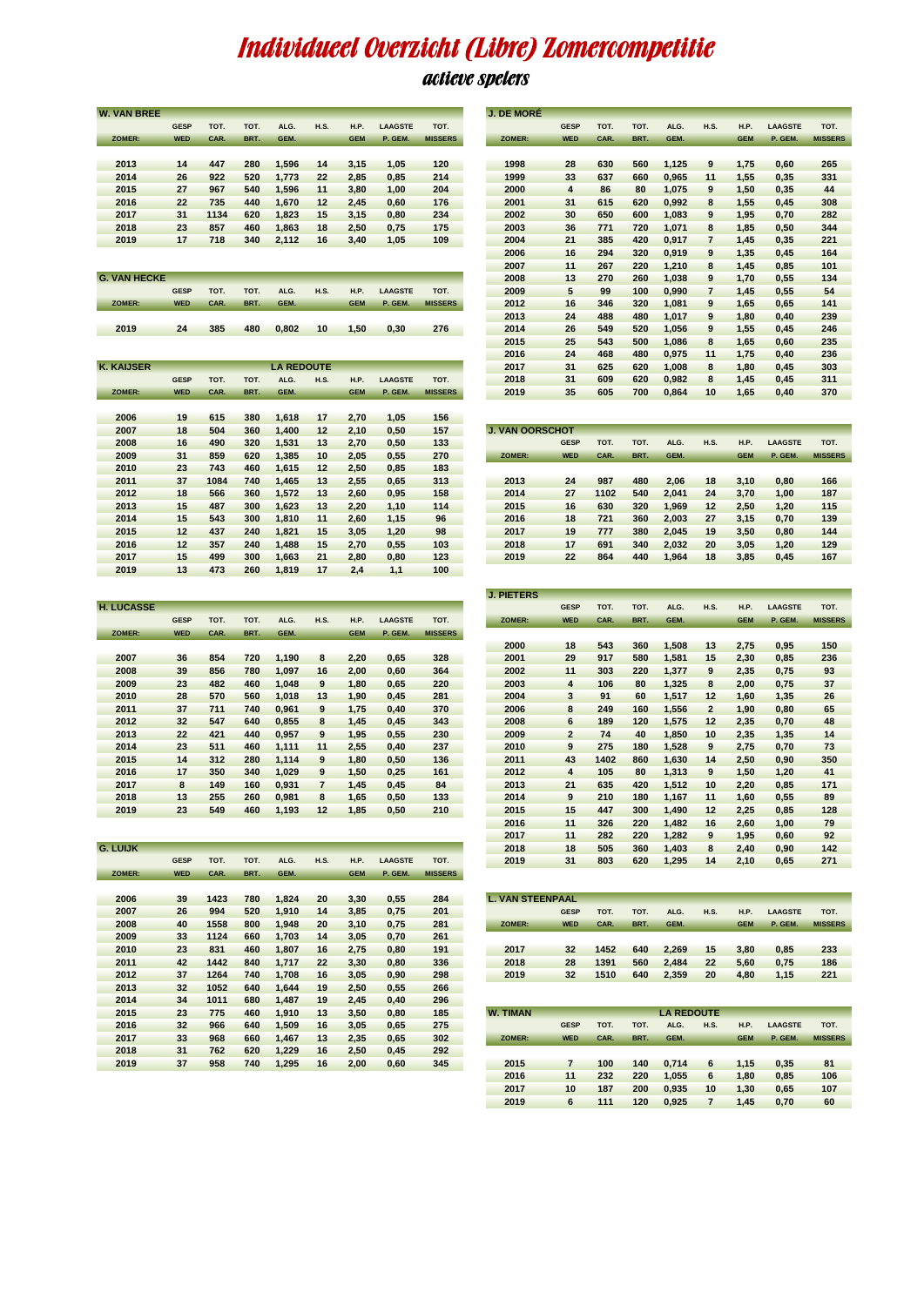## Individueel Overzicht (Libre) Zomercompetitie

## actieve spelers

|                     | <b>GESF</b> | тот. | TOT. | ALG.              | H.S.        | н.е.        | <b>LAAGSTE</b> | тот.           |                         | GESF           | TOT. | TOT. | ALG.              | H.S.                    | H.P.        | <b>_AAGSTE</b> | тот          |
|---------------------|-------------|------|------|-------------------|-------------|-------------|----------------|----------------|-------------------------|----------------|------|------|-------------------|-------------------------|-------------|----------------|--------------|
| <b>ZOMER:</b>       | <b>WED</b>  | CAR. | BRT. | GEM.              |             | <b>GEM</b>  | P. GEM.        | <b>MISSERS</b> | ZOMER:                  | <b>WED</b>     | CAR. | BRT. | GEM.              |                         | <b>GEM</b>  | P. GEM.        | <b>MISSE</b> |
|                     |             |      |      |                   |             |             |                |                |                         |                |      |      |                   |                         |             |                |              |
| 2013                | 14          | 447  | 280  | 1,596             | 14          | 3,15        | 1,05           | 120            | 1998                    | 28             | 630  | 560  | 1,125             | 9                       | 1,75        | 0,60           | 265          |
| 2014                | 26          | 922  | 520  | 1,773             | 22          | 2,85        | 0,85           | 214            | 1999                    | 33             | 637  | 660  | 0,965             | 11                      | 1,55        | 0,35           | 331          |
| 2015                | 27          | 967  | 540  | 1,596             | 11          | 3,80        | 1,00           | 204            | 2000                    | 4              | 86   | 80   | 1,075             | 9                       | 1,50        | 0,35           | 44           |
| 2016                | 22          | 735  | 440  | 1,670             | 12          | 2,45        | 0,60           | 176            | 2001                    | 31             | 615  | 620  | 0,992             | 8                       | 1,55        | 0,45           | 308          |
| 2017                | 31          | 1134 | 620  | 1,823             | 15          | 3,15        | 0,80           | 234            | 2002                    | 30             | 650  | 600  | 1,083             | 9                       | 1,95        | 0,70           | 282          |
| 2018                | 23          | 857  | 460  | 1,863             | 18          | 2,50        | 0,75           | 175            | 2003                    | 36             | 771  | 720  | 1,071             | 8                       | 1,85        | 0,50           | 344          |
| 2019                | 17          | 718  | 340  | 2,112             | 16          | 3,40        | 1,05           | 109            | 2004                    | 21             | 385  | 420  | 0,917             | 7                       | 1,45        | 0,35           | 221          |
|                     |             |      |      |                   |             |             |                |                | 2006                    | 16             | 294  | 320  | 0,919             | 9                       | 1,35        | 0,45           | 164          |
|                     |             |      |      |                   |             |             |                |                | 2007                    | 11             | 267  | 220  | 1,210             | 8                       | 1,45        | 0,85           | 101          |
| <b>G. VAN HECKE</b> |             |      |      |                   |             |             |                |                | 2008                    | 13             | 270  | 260  | 1,038             | 9                       | 1,70        | 0,55           | 134          |
|                     | <b>GESP</b> | TOT. | TOT. | ALG.              | H.S.        | H.P.        | <b>LAAGSTE</b> | TOT.           | 2009                    | 5              | 99   | 100  | 0,990             | $\overline{\mathbf{r}}$ | 1,45        | 0,55           | 54           |
| ZOMER:              | <b>WED</b>  | CAR. | BRT. | <b>GEM</b>        |             | <b>GEM</b>  | P. GEM.        | <b>MISSERS</b> | 2012                    | 16             | 346  | 320  | 1,081             | 9                       | 1,65        | 0,65           | 141          |
|                     |             |      |      |                   |             |             |                |                | 2013                    | 24             | 488  | 480  | 1,017             | 9                       | 1,80        | 0,40           | 239          |
| 2019                | 24          | 385  | 480  | 0,802             | 10          | 1,50        | 0,30           | 276            | 2014                    | 26             | 549  | 520  | 1,056             | 9                       | 1,55        | 0,45           | 246          |
|                     |             |      |      |                   |             |             |                |                | 2015                    | 25             | 543  | 500  | 1,086             | 8                       | 1,65        | 0,60           | 235          |
|                     |             |      |      |                   |             |             |                |                | 2016                    | 24             | 468  | 480  | 0,975             | 11                      | 1,75        | 0,40           | 236          |
| <b>K. KAIJSER</b>   |             |      |      | <b>LA REDOUTE</b> |             |             |                |                | 2017                    | 31             | 625  | 620  | 1,008             | 8                       | 1,80        | 0,45           | 303          |
|                     | GESP        | TOT. | TOT. | ALG.              | <b>H.S.</b> | H.P.        | <b>LAAGSTE</b> | TOT.           | 2018                    | 31             | 609  | 620  | 0,982             | 8                       | 1,45        | 0,45           | 311          |
| ZOMER:              | <b>WED</b>  | CAR. | BRT. | GEM.              |             | <b>GEM</b>  | P. GEM.        | <b>MISSERS</b> | 2019                    | 35             | 605  | 700  | 0,864             | 10                      | 1,65        | 0,40           | 370          |
|                     |             |      |      |                   |             |             |                |                |                         |                |      |      |                   |                         |             |                |              |
| 2006                | 19          | 615  | 380  | 1,618             | 17          | 2,70        | 1,05           | 156            |                         |                |      |      |                   |                         |             |                |              |
| 2007                | 18          | 504  | 360  | 1,400             | 12          | 2,10        | 0,50           | 157            | <b>J. VAN OORSCHOT</b>  |                |      |      |                   |                         |             |                |              |
| 2008                | 16          | 490  | 320  | 1,531             | 13          | 2,70        | 0,50           | 133            |                         | <b>GESP</b>    | TOT. | TOT. | ALG.              | <b>H.S.</b>             | H.P.        | <b>LAAGSTE</b> | <b>TOT</b>   |
| 2009                | 31          | 859  | 620  | 1,385             | 10          | 2,05        | 0,55           | 270            | ZOMER:                  | <b>WED</b>     | CAR. | BRT. | GEM.              |                         | <b>GEM</b>  | P. GEM.        | <b>MISSE</b> |
| 2010                | 23          | 743  | 460  | 1,615             | 12          | 2,50        | 0,85           | 183            |                         |                |      |      |                   |                         |             |                |              |
| 2011                | 37          | 1084 | 740  | 1,465             | 13          | 2,55        | 0,65           | 313            | 2013                    | 24             | 987  | 480  | 2,06              | 18                      | 3,10        | 0,80           | 166          |
| 2012                | 18          | 566  | 360  | 1,572             | 13          | 2,60        | 0,95           | 158            | 2014                    | 27             | 1102 | 540  | 2,041             | 24                      | 3,70        | 1,00           | 187          |
| 2013                | 15          | 487  | 300  | 1,623             | 13          | 2,20        | 1,10           | 114            | 2015                    | 16             | 630  | 320  | 1,969             | 12                      | 2,50        | 1,20           | 115          |
| 2014                | 15          | 543  | 300  | 1,810             | 11          | 2,60        | 1,15           | 96             | 2016                    | 18             | 721  | 360  | 2,003             | 27                      | 3,15        | 0,70           | 139          |
| 2015                | 12          | 437  | 240  | 1,821             | 15          | 3,05        | 1,20           | 98             | 2017                    | 19             | 777  | 380  | 2,045             | 19                      | 3,50        | 0,80           | 144          |
| 2016                | 12          | 357  | 240  | 1,488             | 15          | 2,70        | 0,55           | 103            | 2018                    | 17             | 691  | 340  | 2,032             | 20                      | 3,05        | 1,20           | 129          |
| 2017                | 15          | 499  | 300  | 1,663             | 21          | 2,80        | 0,80           | 123            | 2019                    | 22             | 864  | 440  | 1,964             | 18                      | 3,85        | 0,45           | 167          |
| 2019                | 13          | 473  | 260  | 1,819             | 17          | 2,4         | 1,1            | 100            |                         |                |      |      |                   |                         |             |                |              |
|                     |             |      |      |                   |             |             |                |                |                         |                |      |      |                   |                         |             |                |              |
|                     |             |      |      |                   |             |             |                |                | <b>J. PIETERS</b>       |                |      |      |                   |                         |             |                |              |
| <b>H. LUCASSE</b>   |             |      |      |                   |             |             |                |                |                         | <b>GESP</b>    | TOT. | TOT. | ALG.              | <b>H.S.</b>             | H.P.        | <b>LAAGSTE</b> | <b>TOT</b>   |
|                     | <b>GESP</b> | TOT. | TOT. | ALG.              | <b>H.S.</b> | H.P.        | <b>LAAGSTE</b> | TOT.           | ZOMER:                  | <b>WED</b>     | CAR. | BRT. | GEM.              |                         | <b>GEM</b>  | P. GEM.        | <b>MISSE</b> |
| ZOMER:              | <b>WED</b>  | CAR. | BRT. | GEM.              |             | <b>GEM</b>  | P. GEM.        | <b>MISSERS</b> |                         |                |      |      |                   |                         |             |                |              |
|                     |             |      |      |                   |             |             |                |                | 2000                    | 18             | 543  | 360  | 1,508             | 13                      | 2,75        | 0,95           | 150          |
| 2007                | 36          | 854  | 720  | 1,190             | 8           | 2,20        | 0,65           | 328            | 2001                    | 29             | 917  | 580  | 1,581             | 15                      | 2,30        | 0,85           | 236          |
| 2008                | 39          | 856  | 780  | 1,097             | 16          | 2,00        | 0,60           | 364            | 2002                    | 11             | 303  | 220  | 1,377             | 9                       | 2,35        | 0,75           | 93           |
| 2009                | 23          | 482  | 460  | 1,048             | 9           | 1,80        | 0,65           | 220            | 2003                    | 4              | 106  | 80   | 1,325             | 8                       | 2,00        | 0,75           | 37           |
| 2010                | 28          | 570  | 560  | 1,018             | 13          | 1,90        | 0,45           | 281            | 2004                    | 3              | 91   | 60   | 1,517             | 12                      | 1,60        | 1,35           | 26           |
| 2011                | 37          | 711  | 740  | 0,961             | 9           | 1,75        | 0,40           | 370            | 2006                    | 8              | 249  | 160  | 1,556             | $\mathbf{2}$            | 1,90        | 0,80           | 65           |
| 2012                | 32          | 547  | 640  | 0,855             | 8           | 1,45        | 0,45           | 343            | 2008                    | 6              | 189  | 120  | 1,575             | 12                      | 2,35        | 0,70           | 48           |
| 2013                | 22          | 421  | 440  | 0,957             | 9           | 1,95        | 0,55           | 230            | 2009                    | $\overline{a}$ | 74   | 40   | 1,850             | 10                      | 2,35        | 1,35           | 14           |
| 2014                | 23          | 511  | 460  | 1,111             | 11          | 2,55        | 0,40           | 237            | 2010                    | 9              | 275  | 180  | 1,528             | 9                       | 2,75        | 0,70           | 73           |
| 2015                | 14          | 312  | 280  | 1,114             | 9           | 1,80        | 0,50           | 136            | 2011                    | 43             | 1402 | 860  | 1,630             | 14                      | 2,50        | 0,90           | 350          |
| 2016                | 17          | 350  | 340  | 1,029             | 9           | 1,50        | 0,25           | 161            | 2012                    | 4              | 105  | 80   | 1,313             | 9                       | 1,50        | 1,20           | 41           |
| 2017                | 8           | 149  | 160  | 0,931             | 7           | 1,45        | 0,45           | 84             | 2013                    | 21             | 635  | 420  | 1,512             | 10                      | 2,20        | 0,85           | 171          |
| 2018                | 13          | 255  | 260  | 0,981             | 8           | 1,65        | 0,50           | 133            | 2014                    | 9              | 210  | 180  | 1,167             | 11                      | 1,60        | 0,55           | 89           |
| 2019                | 23          | 549  | 460  | 1,193             | 12          | 1,85        | 0,50           | 210            | 2015                    | 15             | 447  | 300  | 1,490             | 12                      | 2,25        | 0,85           | 128          |
|                     |             |      |      |                   |             |             |                |                | 2016                    | 11             | 326  | 220  | 1,482             | 16                      | 2,60        | 1,UU           | 79           |
|                     |             |      |      |                   |             |             |                |                | 2017                    | 11             | 282  | 220  | 1,282             | 9                       | 1,95        | 0,60           | 92           |
| <b>G. LUIJK</b>     |             |      |      |                   |             |             |                |                | 2018                    | 18             | 505  | 360  | 1,403             | 8                       | 2,40        | 0,90           | 142          |
|                     | <b>GESP</b> | TOT. | TOT. | ALG.              | <b>H.S.</b> | <b>H.P.</b> | <b>LAAGSTE</b> | TOT.           | 2019                    | 31             | 803  | 620  | 1,295             | 14                      | 2,10        | 0,65           | 271          |
| ZOMER:              | <b>WED</b>  | CAR. | BRT. | GEM.              |             | <b>GEM</b>  | P. GEM.        | <b>MISSERS</b> |                         |                |      |      |                   |                         |             |                |              |
|                     |             |      |      |                   |             |             |                |                |                         |                |      |      |                   |                         |             |                |              |
| 2006                | 39          | 1423 | 780  | 1,824             | 20          | 3,30        | 0,55           | 284            | <b>L. VAN STEENPAAL</b> |                |      |      |                   |                         |             |                |              |
| 2007                | 26          | 994  | 520  | 1,910             | 14          | 3,85        | 0,75           | 201            |                         | <b>GESP</b>    | TOT. | TOT. | ALG.              | <b>H.S.</b>             | H.P.        | <b>LAAGSTE</b> | <b>TOT</b>   |
| 2008                | 40          | 1558 | 800  | 1,948             | 20          | 3,10        | 0,75           | 281            | ZOMER:                  | <b>WED</b>     | CAR. | BRT. | GEM.              |                         | <b>GEM</b>  | P. GEM.        | <b>MISSE</b> |
| 2009                | 33          | 1124 | 660  | 1,703             | 14          | 3,05        | 0,70           | 261            |                         |                |      |      |                   |                         |             |                |              |
| 2010                | 23          | 831  | 460  | 1,807             | 16          | 2,75        | 0,80           | 191            | 2017                    | 32             | 1452 | 640  | 2,269             | 15                      | 3,80        | 0,85           | 233          |
| 2011                | 42          | 1442 | 840  | 1,717             | 22          | 3,30        | 0,80           | 336            | 2018                    | 28             | 1391 | 560  | 2,484             | 22                      | 5,60        | 0,75           | 186          |
| 2012                | 37          | 1264 | 740  | 1,708             | 16          | 3,05        | 0,90           | 298            | 2019                    | 32             | 1510 | 640  | 2,359             | 20                      | 4,80        | 1,15           | 221          |
| 2013                | 32          | 1052 | 640  | 1,644             | 19          | 2,50        | 0,55           | 266            |                         |                |      |      |                   |                         |             |                |              |
| 2014                | 34          | 1011 | 680  | 1,487             | 19          | 2,45        | 0,40           | 296            |                         |                |      |      |                   |                         |             |                |              |
| 2015                | 23          | 775  | 460  | 1,910             | 13          | 3,50        | 0,80           | 185            | <b>W. TIMAN</b>         |                |      |      | <b>LA REDOUTE</b> |                         |             |                |              |
| 2016                | 32          | 966  | 640  | 1,509             | 16          | 3,05        | 0,65           | 275            |                         | <b>GESP</b>    | TOT. | TOT. | ALG.              | <b>H.S.</b>             | <b>H.P.</b> | <b>LAAGSTE</b> | <b>TOT</b>   |
| 2017                | 33          | 968  | 660  | 1,467             | 13          | 2,35        | 0,65           | 302            | ZOMER:                  | <b>WED</b>     | CAR. | BRT. | GEM.              |                         | <b>GEM</b>  | P. GEM.        | <b>MISSE</b> |
| 2018                | 31          | 762  | 620  | 1,229             | 16          | 2,50        | 0,45           | 292            |                         |                |      |      |                   |                         |             |                |              |
| 2019                | 37          | 958  | 740  | 1,295             | 16          | 2,00        | 0,60           | 345            | 2015                    | $\overline{7}$ | 100  | 140  | 0,714             | 6                       | 1,15        | 0,35           | 81           |
|                     |             |      |      |                   |             |             |                |                |                         |                |      |      |                   |                         |             |                |              |
|                     |             |      |      |                   |             |             |                |                | 2016                    | 11             | 232  | 220  | 1,055             | 6                       | 1,80        | 0,85           | 106          |

**W. VAN BREE** 

| <b>VAN BREE</b>  |             |      |      |                   |             |             |                |                | <b>J. DE MORÉ</b> |             |      |      |       |                |            |                |                |
|------------------|-------------|------|------|-------------------|-------------|-------------|----------------|----------------|-------------------|-------------|------|------|-------|----------------|------------|----------------|----------------|
|                  | <b>GESP</b> | TOT. | TOT. | ALG.              | <b>H.S.</b> | <b>H.P.</b> | <b>LAAGSTE</b> | TOT.           |                   | <b>GESP</b> | TOT. | TOT. | ALG.  | <b>H.S.</b>    | H.P.       | <b>LAAGSTE</b> | TOT.           |
| <b>ZOMER:</b>    | <b>WED</b>  | CAR. | BRT. | GEM.              |             | <b>GEM</b>  | P. GEM.        | <b>MISSERS</b> | ZOMER:            | <b>WED</b>  | CAR. | BRT. | GEM.  |                | <b>GEM</b> | P. GEM.        | <b>MISSERS</b> |
|                  |             |      |      |                   |             |             |                |                |                   |             |      |      |       |                |            |                |                |
| 2013             | 14          | 447  | 280  | 1,596             | 14          | 3,15        | 1,05           | 120            | 1998              | 28          | 630  | 560  | 1,125 | 9              | 1,75       | 0,60           | 265            |
| 2014             | 26          | 922  | 520  | 1,773             | 22          | 2,85        | 0,85           | 214            | 1999              | 33          | 637  | 660  | 0,965 | 11             | 1,55       | 0,35           | 331            |
| 2015             | 27          | 967  | 540  | 1,596             | 11          | 3,80        | 1,00           | 204            | 2000              | 4           | 86   | 80   | 1,075 | 9              | 1,50       | 0,35           | 44             |
| 2016             | 22          | 735  | 440  | 1,670             | 12          | 2,45        | 0,60           | 176            | 2001              | 31          | 615  | 620  | 0,992 | 8              | 1,55       | 0,45           | 308            |
| 2017             | 31          | 1134 | 620  | 1,823             | 15          | 3,15        | 0,80           | 234            | 2002              | 30          | 650  | 600  | 1,083 | 9              | 1,95       | 0,70           | 282            |
| 2018             | 23          | 857  | 460  | 1,863             | 18          | 2,50        | 0,75           | 175            | 2003              | 36          | 771  | 720  | 1,071 | 8              | 1,85       | 0,50           | 344            |
| 2019             | 17          | 718  | 340  | 2,112             | 16          | 3,40        | 1,05           | 109            | 2004              | 21          | 385  | 420  | 0,917 | $\overline{7}$ | 1,45       | 0,35           | 221            |
|                  |             |      |      |                   |             |             |                |                | 2006              | 16          | 294  | 320  | 0,919 | 9              | 1,35       | 0,45           | 164            |
|                  |             |      |      |                   |             |             |                |                | 2007              | 11          | 267  | 220  | 1,210 | 8              | 1,45       | 0,85           | 101            |
| <b>VAN HECKE</b> |             |      |      |                   |             |             |                |                | 2008              | 13          | 270  | 260  | 1,038 | 9              | 1,70       | 0,55           | 134            |
|                  | <b>GESP</b> | TOT. | TOT. | ALG.              | <b>H.S.</b> | H.P.        | <b>LAAGSTE</b> | TOT.           | 2009              | 5           | 99   | 100  | 0,990 | 7              | 1,45       | 0,55           | 54             |
| ZOMER:           | <b>WED</b>  | CAR. | BRT. | GEM.              |             | <b>GEM</b>  | P. GEM.        | <b>MISSERS</b> | 2012              | 16          | 346  | 320  | 1,081 | 9              | 1,65       | 0,65           | 141            |
|                  |             |      |      |                   |             |             |                |                | 2013              | 24          | 488  | 480  | 1,017 | 9              | 1,80       | 0,40           | 239            |
| 2019             | 24          | 385  | 480  | 0,802             | 10          | 1,50        | 0,30           | 276            | 2014              | 26          | 549  | 520  | 1,056 | 9              | 1,55       | 0,45           | 246            |
|                  |             |      |      |                   |             |             |                |                | 2015              | 25          | 543  | 500  | 1,086 | 8              | 1,65       | 0,60           | 235            |
|                  |             |      |      |                   |             |             |                |                | 2016              | 24          | 468  | 480  | 0,975 | 11             | 1,75       | 0,40           | 236            |
| <b>KAIJSER</b>   |             |      |      | <b>LA REDOUTE</b> |             |             |                |                | 2017              | 31          | 625  | 620  | 1,008 | 8              | 1,80       | 0,45           | 303            |
|                  | <b>GESP</b> | TOT. | TOT. | ALG.              | <b>H.S.</b> | <b>H.P.</b> | <b>LAAGSTE</b> | TOT.           | 2018              | 31          | 609  | 620  | 0,982 | 8              | 1,45       | 0,45           | 311            |
| ZOMER:           | <b>WED</b>  | CAR. | BRT. | GEM.              |             | <b>GEM</b>  | P. GEM.        | <b>MISSERS</b> | 2019              | 35          | 605  | 700  | 0,864 | 10             | 1,65       | 0,40           | 370            |
|                  |             |      |      |                   |             |             |                |                |                   |             |      |      |       |                |            |                |                |

| ---- | . .     | .    | $- -$ | $\cdots$ | . .     | .    | .    | .   |                        |             |      |      |       |             |             |         |                |
|------|---------|------|-------|----------|---------|------|------|-----|------------------------|-------------|------|------|-------|-------------|-------------|---------|----------------|
| 2007 | 18      | 504  | 360   | 1.400    | $12 \,$ | 2.10 | 0.50 | 157 | <b>J. VAN OORSCHOT</b> |             |      |      |       |             |             |         |                |
| 2008 | 16      | 490  | 320   | 1,531    | 13      | 2.70 | 0.50 | 133 |                        | <b>GESP</b> | TOT. | TOT. | ALG.  | <b>H.S.</b> | <b>H.P.</b> | LAAGSTE | TOT.           |
| 2009 | 31      | 859  | 620   | 1,385    | 10      | 2,05 | 0,55 | 270 | ZOMER:                 | <b>WED</b>  | CAR. | BRT. | GEM.  |             | <b>GEM</b>  | P. GEM. | <b>MISSERS</b> |
| 2010 | 23      | 743  | 460   | 1.615    | $12 \,$ | 2.50 | 0,85 | 183 |                        |             |      |      |       |             |             |         |                |
| 2011 | 37      | 1084 | 740   | 1.465    | 13      | 2.55 | 0.65 | 313 | 2013                   | 24          | 987  | 480  | 2.06  | 18          | 3.10        | 0.80    | 166            |
| 2012 | 18      | 566  | 360   | 1,572    | 13      | 2.60 | 0,95 | 158 | 2014                   | 27          | 1102 | 540  | 2.041 | 24          | 3.70        | 1,00    | 187            |
| 2013 | 15      | 487  | 300   | 1,623    | 13      | 2,20 | 1,10 | 114 | 2015                   | 16          | 630  | 320  | 1,969 | 12          | 2,50        | 1,20    | 115            |
| 2014 | 15      | 543  | 300   | 1,810    | 11      | 2.60 | 1,15 | 96  | 2016                   | 18          | 721  | 360  | 2.003 | 27          | 3,15        | 0,70    | 139            |
| 2015 | 12      | 437  | 240   | 1.821    | 15      | 3.05 | 1.20 | 98  | 2017                   | 19          | 777  | 380  | 2.045 | 19          | 3,50        | 0.80    | 144            |
| 2016 | $12 \,$ | 357  | 240   | 1.488    | 15      | 2.70 | 0.55 | 103 | 2018                   | 17          | 691  | 340  | 2.032 | 20          | 3,05        | 1,20    | 129            |
| 2017 | 15      | 499  | 300   | 1,663    | 21      | 2,80 | 0,80 | 123 | 2019                   | 22          | 864  | 440  | 1,964 | 18          | 3,85        | 0,45    | 167            |
|      |         |      |       |          |         |      |      |     |                        |             |      |      |       |             |             |         |                |

|               |             |      |      |       |             |             |                |                | <b>J. PIETERS</b> |                |      |      |       |              |             |                |                |
|---------------|-------------|------|------|-------|-------------|-------------|----------------|----------------|-------------------|----------------|------|------|-------|--------------|-------------|----------------|----------------|
| <b>UCASSE</b> |             |      |      |       |             |             |                |                |                   | <b>GESP</b>    | TOT. | TOT. | ALG.  | <b>H.S.</b>  | <b>H.P.</b> | <b>LAAGSTE</b> | TOT.           |
|               | <b>GESP</b> | TOT. | TOT. | ALG.  | <b>H.S.</b> | <b>H.P.</b> | <b>LAAGSTE</b> | TOT.           | ZOMER:            | <b>WED</b>     | CAR. | BRT. | GEM.  |              | <b>GEM</b>  | P. GEM.        | <b>MISSERS</b> |
| OMER:         | <b>WED</b>  | CAR. | BRT. | GEM.  |             | <b>GEM</b>  | P. GEM.        | <b>MISSERS</b> |                   |                |      |      |       |              |             |                |                |
|               |             |      |      |       |             |             |                |                | 2000              | 18             | 543  | 360  | 1,508 | 13           | 2,75        | 0,95           | 150            |
| 2007          | 36          | 854  | 720  | 1,190 | 8           | 2,20        | 0,65           | 328            | 2001              | 29             | 917  | 580  | 1,581 | 15           | 2,30        | 0,85           | 236            |
| 2008          | 39          | 856  | 780  | 1,097 | 16          | 2,00        | 0,60           | 364            | 2002              | 11             | 303  | 220  | 1,377 | 9            | 2,35        | 0,75           | 93             |
| 2009          | 23          | 482  | 460  | 1,048 | 9           | 1,80        | 0,65           | 220            | 2003              | 4              | 106  | 80   | 1,325 | 8            | 2,00        | 0,75           | 37             |
| 2010          | 28          | 570  | 560  | 1,018 | 13          | 1,90        | 0,45           | 281            | 2004              | 3              | 91   | 60   | 1,517 | 12           | 1,60        | 1,35           | 26             |
| 2011          | 37          | 711  | 740  | 0,961 | 9           | 1,75        | 0,40           | 370            | 2006              | 8              | 249  | 160  | 1,556 | $\mathbf{2}$ | 1,90        | 0,80           | 65             |
| 2012          | 32          | 547  | 640  | 0,855 | 8           | 1,45        | 0,45           | 343            | 2008              | 6              | 189  | 120  | 1,575 | 12           | 2,35        | 0,70           | 48             |
| 2013          | 22          | 421  | 440  | 0,957 | 9           | 1,95        | 0,55           | 230            | 2009              | $\overline{2}$ | 74   | 40   | 1,850 | 10           | 2,35        | 1,35           | 14             |
| 2014          | 23          | 511  | 460  | 1,111 | 11          | 2,55        | 0,40           | 237            | 2010              | 9              | 275  | 180  | 1,528 | 9            | 2,75        | 0,70           | 73             |
| 2015          | 14          | 312  | 280  | 1,114 | 9           | 1,80        | 0,50           | 136            | 2011              | 43             | 1402 | 860  | 1,630 | 14           | 2,50        | 0,90           | 350            |
| 2016          | 17          | 350  | 340  | 1,029 | 9           | 1,50        | 0,25           | 161            | 2012              | 4              | 105  | 80   | 1,313 | 9            | 1,50        | 1,20           | 41             |
| 2017          | 8           | 149  | 160  | 0,931 |             | 1,45        | 0,45           | 84             | 2013              | 21             | 635  | 420  | 1,512 | 10           | 2,20        | 0,85           | 171            |
| 2018          | 13          | 255  | 260  | 0,981 | 8           | 1,65        | 0,50           | 133            | 2014              | 9              | 210  | 180  | 1,167 | 11           | 1,60        | 0,55           | 89             |
| 2019          | 23          | 549  | 460  | 1,193 | 12          | 1,85        | 0,50           | 210            | 2015              | 15             | 447  | 300  | 1,490 | 12           | 2,25        | 0,85           | 128            |
|               |             |      |      |       |             |             |                |                | 2016              | 11             | 326  | 220  | 1,482 | 16           | 2,60        | 1,00           | 79             |
|               |             |      |      |       |             |             |                |                | 2017              | 11             | 282  | 220  | 1,282 | 9            | 1,95        | 0,60           | 92             |
| <b>UIJK</b>   |             |      |      |       |             |             |                |                | 2018              | 18             | 505  | 360  | 1,403 | 8            | 2,40        | 0,90           | 142            |
|               | <b>GESP</b> | TOT. | TOT. | ALG.  | <b>H.S.</b> | <b>H.P.</b> | <b>LAAGSTE</b> | TOT.           | 2019              | 31             | 803  | 620  | 1,295 | 14           | 2,10        | 0,65           | 271            |

| 2006 | 39 | 1423 | 780 | 1.824 | 20 | 3.30 | 0.55  | 284 | <b>L. VAN STEENPAAL</b> |             |      |      |       |             |             |                |                |
|------|----|------|-----|-------|----|------|-------|-----|-------------------------|-------------|------|------|-------|-------------|-------------|----------------|----------------|
| 2007 | 26 | 994  | 520 | 1.910 | 14 | 3.85 | 0.75  | 201 |                         | <b>GESP</b> | TOT. | TOT. | ALG.  | <b>H.S.</b> | <b>H.P.</b> | <b>LAAGSTE</b> | TOT.           |
| 2008 | 40 | 1558 | 800 | 1.948 | 20 | 3.10 | 0.75  | 281 | ZOMER:                  | <b>WED</b>  | CAR. | BRT. | GEM.  |             | <b>GEM</b>  | P. GEM.        | <b>MISSERS</b> |
| 2009 | 33 | 1124 | 660 | 1.703 | 14 | 3.05 | 0.70  | 261 |                         |             |      |      |       |             |             |                |                |
| 2010 | 23 | 831  | 460 | 1.807 | 16 | 2.75 | 0.80  | 191 | 2017                    | 32          | 1452 | 640  | 2.269 | 15          | 3.80        | 0.85           | 233            |
| 2011 | 42 | 1442 | 840 | 1.717 | 22 | 3.30 | 0.80  | 336 | 2018                    | 28          | 1391 | 560  | 2.484 | 22          | 5.60        | 0.75           | 186            |
| 2012 | 37 | 1264 | 740 | 1.708 | 16 | 3.05 | 0,90  | 298 | 2019                    | 32          | 1510 | 640  | 2,359 | 20          | 4,80        | 1,15           | 221            |
| ---- |    | .    |     | .     |    | ____ | $  -$ |     |                         |             |      |      |       |             |             |                |                |

| .    | - - | .   | --- | .     | . . | $- \cdot -$ | $\cdot\cdot\cdot$ | --- |          |             |      |      |                   |             |             |                |                |
|------|-----|-----|-----|-------|-----|-------------|-------------------|-----|----------|-------------|------|------|-------------------|-------------|-------------|----------------|----------------|
| 2015 | 23  | 775 | 460 | 1,910 | 13  | 3,50        | 0,80              | 185 | W. TIMAN |             |      |      | <b>LA REDOUTE</b> |             |             |                |                |
| 2016 | 32  | 966 | 640 | 1,509 | 16  | 3,05        | 0,65              | 275 |          | <b>GESP</b> | TOT. | TOT. | ALG.              | <b>H.S.</b> | <b>H.P.</b> | <b>LAAGSTE</b> | TOT.           |
| 2017 | 33  | 968 | 660 | 1,467 | 13  | 2,35        | 0,65              | 302 | ZOMER:   | <b>WED</b>  | CAR. | BRT. | GEM.              |             | <b>GEM</b>  | P. GEM.        | <b>MISSERS</b> |
| 2018 | 31  | 762 | 620 | 1,229 | 16  | 2,50        | 0,45              | 292 |          |             |      |      |                   |             |             |                |                |
| 2019 | 37  | 958 | 740 | 1,295 | 16  | 2,00        | 0,60              | 345 | 2015     |             | 100  | 140  | 0.714             | 6           | 1.15        | 0,35           | 81             |
|      |     |     |     |       |     |             |                   |     | 2016     | 11          | 232  | 220  | 1,055             | 6           | 1,80        | 0,85           | 106            |
|      |     |     |     |       |     |             |                   |     | 2017     | 10          | 187  | 200  | 0,935             | 10          | 1,30        | 0,65           | 107            |
|      |     |     |     |       |     |             |                   |     | 2019     | 6           | 111  | 120  | 0,925             |             | 1,45        | 0,70           | 60             |
|      |     |     |     |       |     |             |                   |     |          |             |      |      |                   |             |             |                |                |